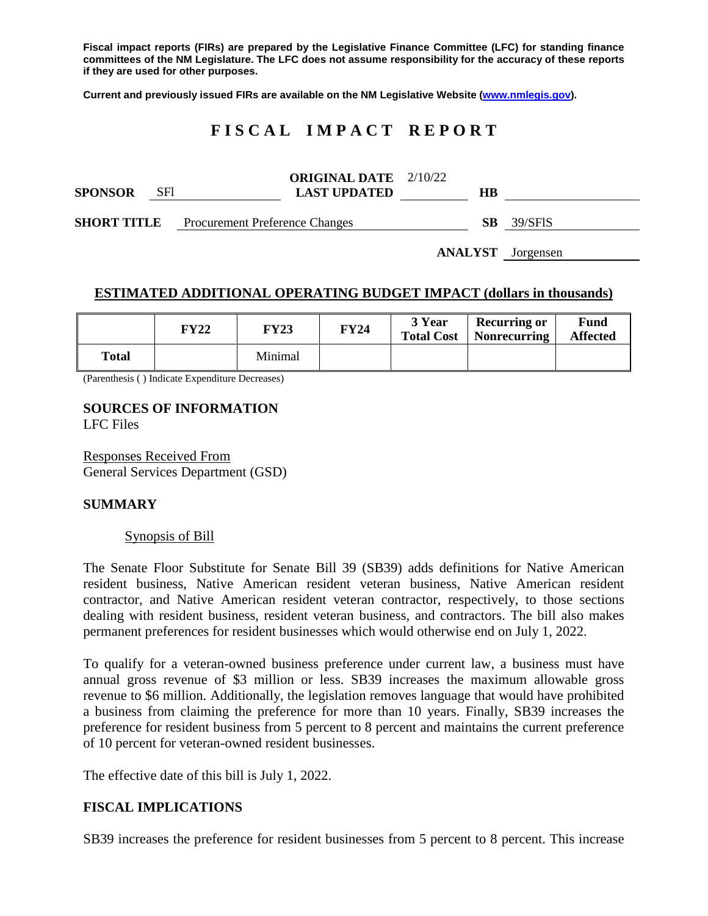**Fiscal impact reports (FIRs) are prepared by the Legislative Finance Committee (LFC) for standing finance committees of the NM Legislature. The LFC does not assume responsibility for the accuracy of these reports if they are used for other purposes.**

**Current and previously issued FIRs are available on the NM Legislative Website [\(www.nmlegis.gov\)](http://www.nmlegis.gov/).**

# **F I S C A L I M P A C T R E P O R T**

| <b>SPONSOR</b>     | <b>SF1</b> |                                       | <b>ORIGINAL DATE</b> 2/10/22<br><b>LAST UPDATED</b> | HВ |         |
|--------------------|------------|---------------------------------------|-----------------------------------------------------|----|---------|
| <b>SHORT TITLE</b> |            | <b>Procurement Preference Changes</b> |                                                     | SВ | 39/SFIS |

**ANALYST** Jorgensen

# **ESTIMATED ADDITIONAL OPERATING BUDGET IMPACT (dollars in thousands)**

|              | <b>FY22</b> | <b>FY23</b> | <b>FY24</b> | 3 Year<br><b>Total Cost</b> | <b>Recurring or</b><br>Nonrecurring | Fund<br><b>Affected</b> |
|--------------|-------------|-------------|-------------|-----------------------------|-------------------------------------|-------------------------|
| <b>Total</b> |             | Minimal     |             |                             |                                     |                         |

(Parenthesis ( ) Indicate Expenditure Decreases)

# **SOURCES OF INFORMATION**

LFC Files

Responses Received From General Services Department (GSD)

# **SUMMARY**

#### Synopsis of Bill

The Senate Floor Substitute for Senate Bill 39 (SB39) adds definitions for Native American resident business, Native American resident veteran business, Native American resident contractor, and Native American resident veteran contractor, respectively, to those sections dealing with resident business, resident veteran business, and contractors. The bill also makes permanent preferences for resident businesses which would otherwise end on July 1, 2022.

To qualify for a veteran-owned business preference under current law, a business must have annual gross revenue of \$3 million or less. SB39 increases the maximum allowable gross revenue to \$6 million. Additionally, the legislation removes language that would have prohibited a business from claiming the preference for more than 10 years. Finally, SB39 increases the preference for resident business from 5 percent to 8 percent and maintains the current preference of 10 percent for veteran-owned resident businesses.

The effective date of this bill is July 1, 2022.

# **FISCAL IMPLICATIONS**

SB39 increases the preference for resident businesses from 5 percent to 8 percent. This increase